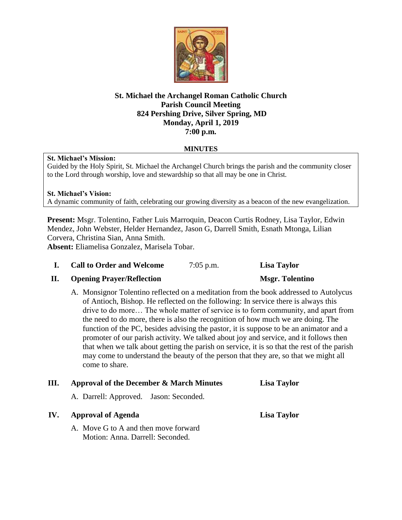

## **St. Michael the Archangel Roman Catholic Church Parish Council Meeting 824 Pershing Drive, Silver Spring, MD Monday, April 1, 2019 7:00 p.m.**

## **MINUTES**

### **St. Michael's Mission:**

Guided by the Holy Spirit, St. Michael the Archangel Church brings the parish and the community closer to the Lord through worship, love and stewardship so that all may be one in Christ.

# **St. Michael's Vision:** A dynamic community of faith, celebrating our growing diversity as a beacon of the new evangelization.

**Present:** Msgr. Tolentino, Father Luis Marroquin, Deacon Curtis Rodney, Lisa Taylor, Edwin Mendez, John Webster, Helder Hernandez, Jason G, Darrell Smith, Esnath Mtonga, Lilian Corvera, Christina Sian, Anna Smith.

**Absent:** Eliamelisa Gonzalez, Marisela Tobar.

# **I. Call to Order and Welcome** 7:05 p.m. **Lisa Taylor**

# **II. Opening Prayer/Reflection Msgr. Tolentino**

A. Monsignor Tolentino reflected on a meditation from the book addressed to Autolycus of Antioch, Bishop. He reflected on the following: In service there is always this drive to do more… The whole matter of service is to form community, and apart from the need to do more, there is also the recognition of how much we are doing. The function of the PC, besides advising the pastor, it is suppose to be an animator and a promoter of our parish activity. We talked about joy and service, and it follows then that when we talk about getting the parish on service, it is so that the rest of the parish may come to understand the beauty of the person that they are, so that we might all come to share.

# **III. Approval of the December & March Minutes Lisa Taylor**

A. Darrell: Approved. Jason: Seconded.

# **IV. Approval of Agenda Lisa Taylor**

A. Move G to A and then move forward Motion: Anna. Darrell: Seconded.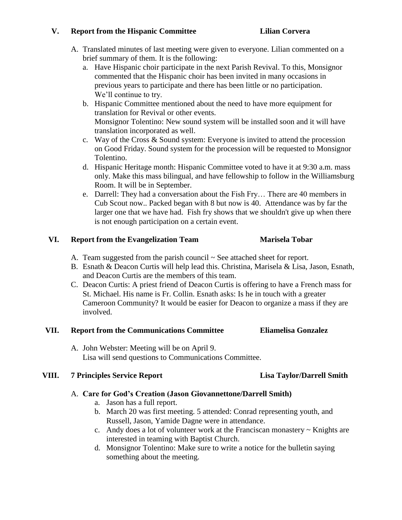# **V. Report from the Hispanic Committee Lilian Corvera**

- A. Translated minutes of last meeting were given to everyone. Lilian commented on a brief summary of them. It is the following:
	- a. Have Hispanic choir participate in the next Parish Revival. To this, Monsignor commented that the Hispanic choir has been invited in many occasions in previous years to participate and there has been little or no participation. We'll continue to try.
	- b. Hispanic Committee mentioned about the need to have more equipment for translation for Revival or other events. Monsignor Tolentino: New sound system will be installed soon and it will have translation incorporated as well.
	- c. Way of the Cross & Sound system: Everyone is invited to attend the procession on Good Friday. Sound system for the procession will be requested to Monsignor Tolentino.
	- d. Hispanic Heritage month: Hispanic Committee voted to have it at 9:30 a.m. mass only. Make this mass bilingual, and have fellowship to follow in the Williamsburg Room. It will be in September.
	- e. Darrell: They had a conversation about the Fish Fry… There are 40 members in Cub Scout now.. Packed began with 8 but now is 40. Attendance was by far the larger one that we have had. Fish fry shows that we shouldn't give up when there is not enough participation on a certain event.

# **VI. Report from the Evangelization Team Marisela Tobar**

- A. Team suggested from the parish council  $\sim$  See attached sheet for report.
- B. Esnath & Deacon Curtis will help lead this. Christina, Marisela & Lisa, Jason, Esnath, and Deacon Curtis are the members of this team.
- C. Deacon Curtis: A priest friend of Deacon Curtis is offering to have a French mass for St. Michael. His name is Fr. Collin. Esnath asks: Is he in touch with a greater Cameroon Community? It would be easier for Deacon to organize a mass if they are involved.

# **VII. Report from the Communications Committee Eliamelisa Gonzalez**

A. John Webster: Meeting will be on April 9. Lisa will send questions to Communications Committee.

# **VIII. 7 Principles Service Report Lisa Taylor/Darrell Smith**

# A. **Care for God's Creation (Jason Giovannettone/Darrell Smith)**

- a. Jason has a full report.
- b. March 20 was first meeting. 5 attended: Conrad representing youth, and Russell, Jason, Yamide Dagne were in attendance.
- c. Andy does a lot of volunteer work at the Franciscan monastery  $\sim$  Knights are interested in teaming with Baptist Church.
- d. Monsignor Tolentino: Make sure to write a notice for the bulletin saying something about the meeting.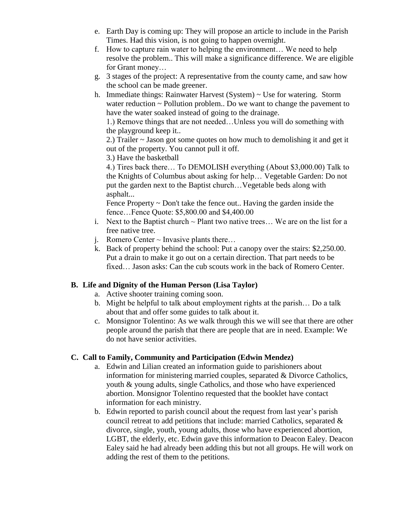- e. Earth Day is coming up: They will propose an article to include in the Parish Times. Had this vision, is not going to happen overnight.
- f. How to capture rain water to helping the environment… We need to help resolve the problem.. This will make a significance difference. We are eligible for Grant money…
- g. 3 stages of the project: A representative from the county came, and saw how the school can be made greener.
- h. Immediate things: Rainwater Harvest (System) ~ Use for watering. Storm water reduction  $\sim$  Pollution problem.. Do we want to change the pavement to have the water soaked instead of going to the drainage.

1.) Remove things that are not needed…Unless you will do something with the playground keep it..

2.) Trailer ~ Jason got some quotes on how much to demolishing it and get it out of the property. You cannot pull it off.

3.) Have the basketball

4.) Tires back there… To DEMOLISH everything (About \$3,000.00) Talk to the Knights of Columbus about asking for help… Vegetable Garden: Do not put the garden next to the Baptist church…Vegetable beds along with asphalt...

Fence Property ~ Don't take the fence out.. Having the garden inside the fence…Fence Quote: \$5,800.00 and \$4,400.00

- i. Next to the Baptist church  $\sim$  Plant two native trees... We are on the list for a free native tree.
- j. Romero Center  $\sim$  Invasive plants there...
- k. Back of property behind the school: Put a canopy over the stairs: \$2,250.00. Put a drain to make it go out on a certain direction. That part needs to be fixed… Jason asks: Can the cub scouts work in the back of Romero Center.

# **B. Life and Dignity of the Human Person (Lisa Taylor)**

- a. Active shooter training coming soon.
- b. Might be helpful to talk about employment rights at the parish… Do a talk about that and offer some guides to talk about it.
- c. Monsignor Tolentino: As we walk through this we will see that there are other people around the parish that there are people that are in need. Example: We do not have senior activities.

# **C. Call to Family, Community and Participation (Edwin Mendez)**

- a. Edwin and Lilian created an information guide to parishioners about information for ministering married couples, separated & Divorce Catholics, youth & young adults, single Catholics, and those who have experienced abortion. Monsignor Tolentino requested that the booklet have contact information for each ministry.
- b. Edwin reported to parish council about the request from last year's parish council retreat to add petitions that include: married Catholics, separated & divorce, single, youth, young adults, those who have experienced abortion, LGBT, the elderly, etc. Edwin gave this information to Deacon Ealey. Deacon Ealey said he had already been adding this but not all groups. He will work on adding the rest of them to the petitions.